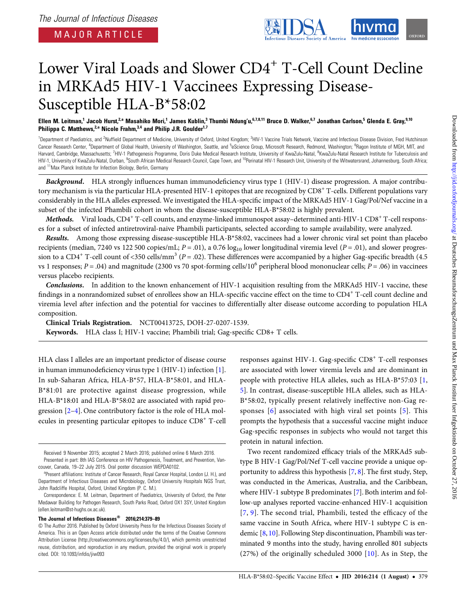

# Lower Viral Loads and Slower CD4<sup>+</sup> T-Cell Count Decline in MRKAd5 HIV-1 Vaccinees Expressing Disease-Susceptible HLA-B\*58:02

Ellen M. Leitman,<sup>1</sup> Jacob Hurst,<sup>2,a</sup> Masahiko Mori,<sup>1</sup> James Kublin,<sup>3</sup> Thumbi Ndung'u,<sup>6,7,8,11</sup> Bruce D. Walker,<sup>6,7</sup> Jonathan Carlson,<sup>5</sup> Glenda E. Gray,<sup>9,10</sup> Philippa C. Matthews,<sup>2,a</sup> Nicole Frahm,<sup>3,4</sup> and Philip J.R. Goulder<sup>1,7</sup>

<sup>1</sup>Department of Paediatrics, and <sup>2</sup>Nuffield Department of Medicine, University of Oxford, United Kingdom; <sup>3</sup>HIV-1 Vaccine Trials Network, Vaccine and Infectious Disease Division, Fred Hutchinson Cancer Research Center, <sup>4</sup>Department of Global Health, University of Washington, Seattle, and <sup>5</sup>eScience Group, Microsoft Research, Redmond, Washington; <sup>6</sup>Ragon Institute of MGH, MIT, and Harvard, Cambridge, Massachusetts; <sup>7</sup>HIV-1 Pathogenesis Programme, Doris Duke Medical Research Institute, University of KwaZulu-Natal, <sup>8</sup>KwaZulu-Natal Research Institute for Tuberculosis and HIV-1, University of KwaZulu-Natal, Durban, <sup>9</sup>South African Medical Research Council, Cape Town, and <sup>10</sup>Perinatal HIV-1 Research Unit, University of the Witwatersrand, Johannesburg, South Africa; and <sup>11</sup>Max Planck Institute for Infection Biology, Berlin, Germany

Background. HLA strongly influences human immunodeficiency virus type 1 (HIV-1) disease progression. A major contributory mechanism is via the particular HLA-presented HIV-1 epitopes that are recognized by CD8<sup>+</sup> T-cells. Different populations vary considerably in the HLA alleles expressed. We investigated the HLA-specific impact of the MRKAd5 HIV-1 Gag/Pol/Nef vaccine in a subset of the infected Phambili cohort in whom the disease-susceptible HLA-B\*58:02 is highly prevalent.

Methods. Viral loads,  $CD4^+$  T-cell counts, and enzyme-linked immunospot assay–determined anti-HIV-1 CD8<sup>+</sup> T-cell responses for a subset of infected antiretroviral-naive Phambili participants, selected according to sample availability, were analyzed.

Results. Among those expressing disease-susceptible HLA-B\*58:02, vaccinees had a lower chronic viral set point than placebo recipients (median, 7240 vs 122 500 copies/mL;  $P = .01$ ), a 0.76 log<sub>10</sub> lower longitudinal viremia level ( $P = .01$ ), and slower progression to a CD4<sup>+</sup> T-cell count of <350 cells/mm<sup>3</sup> ( $P = .02$ ). These differences were accompanied by a higher Gag-specific breadth (4.5 vs 1 responses;  $P = .04$ ) and magnitude (2300 vs 70 spot-forming cells/10<sup>6</sup> peripheral blood mononuclear cells;  $P = .06$ ) in vaccinees versus placebo recipients.

Conclusions. In addition to the known enhancement of HIV-1 acquisition resulting from the MRKAd5 HIV-1 vaccine, these findings in a nonrandomized subset of enrollees show an HLA-specific vaccine effect on the time to CD4<sup>+</sup> T-cell count decline and viremia level after infection and the potential for vaccines to differentially alter disease outcome according to population HLA composition.

Clinical Trials Registration. NCT00413725, DOH-27-0207-1539. Keywords. HLA class I; HIV-1 vaccine; Phambili trial; Gag-specific CD8+ T cells.

HLA class I alleles are an important predictor of disease course in human immunodeficiency virus type 1 (HIV-1) infection [[1\]](#page-9-0). In sub-Saharan Africa, HLA-B\*57, HLA-B\*58:01, and HLA-B\*81:01 are protective against disease progression, while HLA-B\*18:01 and HLA-B\*58:02 are associated with rapid progression [\[2](#page-9-0)–[4](#page-9-0)]. One contributory factor is the role of HLA molecules in presenting particular epitopes to induce CD8<sup>+</sup> T-cell

Received 9 November 2015; accepted 2 March 2016; published online 6 March 2016. Presented in part: 8th IAS Conference on HIV Pathogenesis, Treatment, and Prevention, Vancouver, Canada, 19–22 July 2015. Oral poster discussion WEPDA0102.

## The Journal of Infectious Diseases® 2016;214:379–89

responses against HIV-1. Gag-specific CD8<sup>+</sup> T-cell responses are associated with lower viremia levels and are dominant in people with protective HLA alleles, such as HLA-B\*57:03 [\[1,](#page-9-0) [5\]](#page-9-0). In contrast, disease-susceptible HLA alleles, such as HLA-B\*58:02, typically present relatively ineffective non-Gag responses  $[6]$  $[6]$  associated with high viral set points  $[5]$  $[5]$ . This prompts the hypothesis that a successful vaccine might induce Gag-specific responses in subjects who would not target this protein in natural infection.

Two recent randomized efficacy trials of the MRKAd5 subtype B HIV-1 Gag/Pol/Nef T-cell vaccine provide a unique opportunity to address this hypothesis [\[7,](#page-9-0) [8](#page-9-0)]. The first study, Step, was conducted in the Americas, Australia, and the Caribbean, where HIV-1 subtype B predominates [[7](#page-9-0)]. Both interim and follow-up analyses reported vaccine-enhanced HIV-1 acquisition [\[7](#page-9-0), [9\]](#page-9-0). The second trial, Phambili, tested the efficacy of the same vaccine in South Africa, where HIV-1 subtype C is endemic [\[8,](#page-9-0) [10](#page-9-0)]. Following Step discontinuation, Phambili was terminated 9 months into the study, having enrolled 801 subjects (27%) of the originally scheduled 3000 [[10](#page-9-0)]. As in Step, the

<sup>&</sup>lt;sup>a</sup>Present affiliations: Institute of Cancer Research, Royal Cancer Hospital, London (J. H.), and Department of Infectious Diseases and Microbiology, Oxford University Hospitals NGS Trust, John Radcliffe Hospital, Oxford, United Kingdom (P. C. M.).

Correspondence: E. M. Leitman, Department of Paediatrics, University of Oxford, the Peter Medawar Building for Pathogen Research, South Parks Road, Oxford OX1 3SY, United Kingdom [\(ellen.leitman@st-hughs.ox.ac.uk\)](mailto:ellen.leitman@st-hughs.ox.ac.uk).

<sup>©</sup> The Author 2016. Published by Oxford University Press for the Infectious Diseases Society of America. This is an Open Access article distributed under the terms of the Creative Commons Attribution License [\(http://creativecommons.org/licenses/by/4.0/\)](http://creativecommons.org/licenses/by/4.0/), which permits unrestricted reuse, distribution, and reproduction in any medium, provided the original work is properly cited. DOI: 10.1093/infdis/jiw093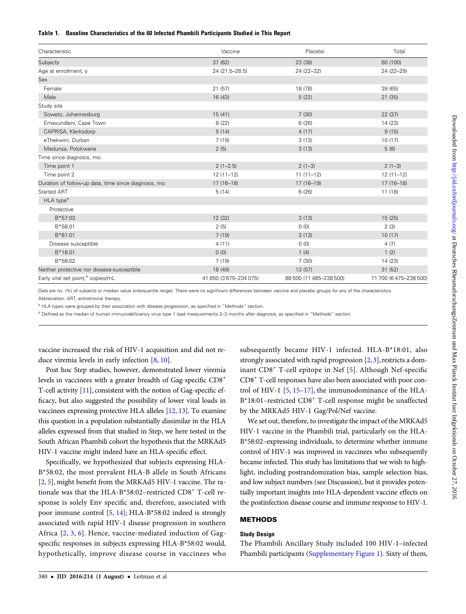<span id="page-1-0"></span>

| Characteristic                                        | Vaccine                | Placebo                 | Total                  |
|-------------------------------------------------------|------------------------|-------------------------|------------------------|
| Subjects                                              | 37(62)                 | 23 (38)                 | 60 (100)               |
| Age at enrollment, y                                  | 24 (21.5-28.5)         | 24 (22-32)              | 24 (22-29)             |
| Sex                                                   |                        |                         |                        |
| Female                                                | 21(57)                 | 18 (78)                 | 39 (65)                |
| Male                                                  | 16(43)                 | 5(22)                   | 21(35)                 |
| Study site                                            |                        |                         |                        |
| Soweto, Johannesburg                                  | 15(41)                 | 7(30)                   | 22(37)                 |
| Emavundleni, Cape Town                                | 8(22)                  | 6(26)                   | 14 (23)                |
| CAPRISA, Klerksdorp                                   | 5(14)                  | 4(17)                   | 9(15)                  |
| eThekwini, Durban                                     | 7(19)                  | 3(13)                   | 10(17)                 |
| Medunsa, Polokwane                                    | 2(5)                   | 3(13)                   | 5(8)                   |
| Time since diagnosis, mo.                             |                        |                         |                        |
| Time point 1                                          | $2(1-2.5)$             | $2(1-3)$                | $2(1-3)$               |
| Time point 2                                          | $12(11-12)$            | $11(11-12)$             | $12(11-12)$            |
| Duration of follow-up data, time since diagnosis, mo. | $17(16-18)$            | $17(16-19)$             | $17(16-18)$            |
| <b>Started ART</b>                                    | 5(14)                  | 6(26)                   | 11 (18)                |
| HLA type <sup>a</sup>                                 |                        |                         |                        |
| Protective                                            |                        |                         |                        |
| $B*57:03$                                             | 12 (32)                | 3(13)                   | 15(25)                 |
| B*58:01                                               | 2(5)                   | 0(0)                    | 2(3)                   |
| B*81:01                                               | 7(19)                  | 3(13)                   | 10(17)                 |
| Disease susceptible                                   | 4(11)                  | 0(0)                    | 4(7)                   |
| $B*18:01$                                             | 0(0)                   | 1(4)                    | 1(2)                   |
| $B*58:02$                                             | 7(19)                  | 7(30)                   | 14 (23)                |
| Neither protective nor disease-susceptible            | 18 (49)                | 13 (57)                 | 31(52)                 |
| Early viral set point, <sup>b</sup> copies/mL         | 41 850 (3 675-234 075) | 88 500 (11 485-238 500) | 71 700 (6 475-238 500) |

Data are no. (%) of subjects or median value (interquartile range). There were no significant differences between vaccine and placebo groups for any of the characteristics. Abbreviation: ART, antiretroviral therapy.

<sup>a</sup> HLA types were grouped by their association with disease progression, as specified in "Methods" section.

<sup>b</sup> Defined as the median of human immunodeficiency virus type 1 load measurements 2–3 months after diagnosis, as specified in "Methods" section.

vaccine increased the risk of HIV-1 acquisition and did not reduce viremia levels in early infection [\[8](#page-9-0), [10](#page-9-0)].

Post hoc Step studies, however, demonstrated lower viremia levels in vaccinees with a greater breadth of Gag-specific CD8+ T-cell activity [\[11\]](#page-9-0), consistent with the notion of Gag-specific efficacy, but also suggested the possibility of lower viral loads in vaccinees expressing protective HLA alleles [[12](#page-9-0), [13](#page-9-0)]. To examine this question in a population substantially dissimilar in the HLA alleles expressed from that studied in Step, we here tested in the South African Phambili cohort the hypothesis that the MRKAd5 HIV-1 vaccine might indeed have an HLA-specific effect.

Specifically, we hypothesized that subjects expressing HLA-B\*58:02, the most prevalent HLA-B allele in South Africans [\[2,](#page-9-0) [5](#page-9-0)], might benefit from the MRKAd5 HIV-1 vaccine. The rationale was that the HLA-B\*58:02-restricted  $CDS<sup>+</sup>$  T-cell response is solely Env specific and, therefore, associated with poor immune control [[5](#page-9-0), [14\]](#page-9-0); HLA-B\*58:02 indeed is strongly associated with rapid HIV-1 disease progression in southern Africa [\[2,](#page-9-0) [3,](#page-9-0) [6](#page-9-0)]. Hence, vaccine-mediated induction of Gagspecific responses in subjects expressing HLA-B\*58:02 would, hypothetically, improve disease course in vaccinees who subsequently became HIV-1 infected. HLA-B\*18:01, also strongly associated with rapid progression [[2](#page-9-0), [3\]](#page-9-0), restricts a dominant  $CD8<sup>+</sup>$  T-cell epitope in Nef [\[5](#page-9-0)]. Although Nef-specific CD8<sup>+</sup> T-cell responses have also been associated with poor control of HIV-1 [\[5,](#page-9-0) [15](#page-9-0)–[17](#page-9-0)], the immunodominance of the HLA-B\*18:01–restricted CD8<sup>+</sup> T-cell response might be unaffected by the MRKAd5 HIV-1 Gag/Pol/Nef vaccine.

We set out, therefore, to investigate the impact of the MRKAd5 HIV-1 vaccine in the Phambili trial, particularly on the HLA-B\*58:02–expressing individuals, to determine whether immune control of HIV-1 was improved in vaccinees who subsequently became infected. This study has limitations that we wish to highlight, including postrandomization bias, sample selection bias, and low subject numbers (see Discussion), but it provides potentially important insights into HLA-dependent vaccine effects on the postinfection disease course and immune response to HIV-1.

# METHODS

# Study Design

The Phambili Ancillary Study included 100 HIV-1–infected Phambili participants ([Supplementary Figure 1](http://jid.oxfordjournals.org/lookup/suppl/doi:10.1093/infdis/jiw093/-/DC1)). Sixty of them,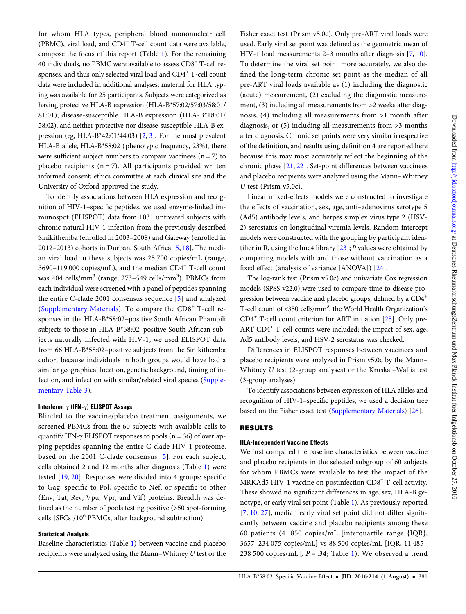for whom HLA types, peripheral blood mononuclear cell (PBMC), viral load, and CD4<sup>+</sup> T-cell count data were available, compose the focus of this report (Table [1\)](#page-1-0). For the remaining 40 individuals, no PBMC were available to assess  $CDS<sup>+</sup> T-cell$  responses, and thus only selected viral load and CD4<sup>+</sup> T-cell count data were included in additional analyses; material for HLA typing was available for 25 participants. Subjects were categorized as having protective HLA-B expression (HLA-B\*57:02/57:03/58:01/ 81:01); disease-susceptible HLA-B expression (HLA-B\*18:01/ 58:02), and neither protective nor disease-susceptible HLA-B ex-pression (eg, HLA-B\*42:01/44:0[3](#page-9-0))  $[2, 3]$  $[2, 3]$ . For the most prevalent HLA-B allele, HLA-B\*58:02 (phenotypic frequency, 23%), there were sufficient subject numbers to compare vaccinees  $(n = 7)$  to placebo recipients  $(n = 7)$ . All participants provided written informed consent; ethics committee at each clinical site and the University of Oxford approved the study.

To identify associations between HLA expression and recognition of HIV-1–specific peptides, we used enzyme-linked immunospot (ELISPOT) data from 1031 untreated subjects with chronic natural HIV-1 infection from the previously described Sinikithemba (enrolled in 2003–2008) and Gateway (enrolled in 2012–2013) cohorts in Durban, South Africa [[5](#page-9-0), [18](#page-9-0)]. The median viral load in these subjects was 25 700 copies/mL (range,  $3690-119000$  copies/mL), and the median CD4<sup>+</sup> T-cell count was 404 cells/mm $^3$  (range, 273–549 cells/mm $^3$ ). PBMCs from each individual were screened with a panel of peptides spanning the entire C-clade 2001 consensus sequence [[5\]](#page-9-0) and analyzed [\(Supplementary Materials\)](http://jid.oxfordjournals.org/lookup/suppl/doi:10.1093/infdis/jiw093/-/DC1). To compare the  $CD8<sup>+</sup>$  T-cell responses in the HLA-B\*58:02–positive South African Phambili subjects to those in HLA-B\*58:02–positive South African subjects naturally infected with HIV-1, we used ELISPOT data from 66 HLA-B\*58:02–positive subjects from the Sinikithemba cohort because individuals in both groups would have had a similar geographical location, genetic background, timing of infection, and infection with similar/related viral species ([Supple](http://jid.oxfordjournals.org/lookup/suppl/doi:10.1093/infdis/jiw093/-/DC1)[mentary Table 3\)](http://jid.oxfordjournals.org/lookup/suppl/doi:10.1093/infdis/jiw093/-/DC1).

# Interferon γ (IFN-γ) ELISPOT Assays

Blinded to the vaccine/placebo treatment assignments, we screened PBMCs from the 60 subjects with available cells to quantify IFN- $\gamma$  ELISPOT responses to pools (n = 36) of overlapping peptides spanning the entire C-clade HIV-1 proteome, based on the 2001 C-clade consensus [[5\]](#page-9-0). For each subject, cells obtained 2 and 12 months after diagnosis (Table [1](#page-1-0)) were tested [\[19,](#page-9-0) [20](#page-9-0)]. Responses were divided into 4 groups: specific to Gag, specific to Pol, specific to Nef, or specific to other (Env, Tat, Rev, Vpu, Vpr, and Vif) proteins. Breadth was defined as the number of pools testing positive (>50 spot-forming cells [SFCs]/10<sup>6</sup> PBMCs, after background subtraction).

## Statistical Analysis

Baseline characteristics (Table [1\)](#page-1-0) between vaccine and placebo recipients were analyzed using the Mann–Whitney U test or the

Fisher exact test (Prism v5.0c). Only pre-ART viral loads were used. Early viral set point was defined as the geometric mean of HIV-1 load measurements 2–3 months after diagnosis [[7](#page-9-0), [10\]](#page-9-0). To determine the viral set point more accurately, we also defined the long-term chronic set point as the median of all pre-ART viral loads available as (1) including the diagnostic (acute) measurement, (2) excluding the diagnostic measurement, (3) including all measurements from >2 weeks after diagnosis, (4) including all measurements from >1 month after diagnosis, or (5) including all measurements from >3 months after diagnosis. Chronic set points were very similar irrespective of the definition, and results using definition 4 are reported here because this may most accurately reflect the beginning of the chronic phase [[21,](#page-9-0) [22](#page-9-0)]. Set-point differences between vaccinees and placebo recipients were analyzed using the Mann–Whitney U test (Prism v5.0c).

Linear mixed-effects models were constructed to investigate the effects of vaccination, sex, age, anti–adenovirus serotype 5 (Ad5) antibody levels, and herpes simplex virus type 2 (HSV-2) serostatus on longitudinal viremia levels. Random intercept models were constructed with the grouping by participant identifier in R, using the lme4 library  $[23]$  $[23]$ ; P values were obtained by comparing models with and those without vaccination as a fixed effect (analysis of variance [ANOVA]) [[24\]](#page-9-0).

The log-rank test (Prism v5.0c) and univariate Cox regression models (SPSS v22.0) were used to compare time to disease progression between vaccine and placebo groups, defined by a CD4+ T-cell count of <350 cells/mm<sup>3</sup>, the World Health Organization's CD4+ T-cell count criterion for ART initiation [\[25](#page-9-0)]. Only pre-ART  $CD4^+$  T-cell counts were included; the impact of sex, age, Ad5 antibody levels, and HSV-2 serostatus was checked.

Differences in ELISPOT responses between vaccinees and placebo recipients were analyzed in Prism v5.0c by the Mann– Whitney U test (2-group analyses) or the Kruskal–Wallis test (3-group analyses).

To identify associations between expression of HLA alleles and recognition of HIV-1–specific peptides, we used a decision tree based on the Fisher exact test [\(Supplementary Materials\)](http://jid.oxfordjournals.org/lookup/suppl/doi:10.1093/infdis/jiw093/-/DC1) [[26\]](#page-10-0).

## RESULTS

## HLA-Independent Vaccine Effects

We first compared the baseline characteristics between vaccine and placebo recipients in the selected subgroup of 60 subjects for whom PBMCs were available to test the impact of the MRKAd5 HIV-1 vaccine on postinfection CD8<sup>+</sup> T-cell activity. These showed no significant differences in age, sex, HLA-B genotype, or early viral set point (Table [1\)](#page-1-0). As previously reported [\[7,](#page-9-0) [10,](#page-9-0) [27\]](#page-10-0), median early viral set point did not differ significantly between vaccine and placebo recipients among these 60 patients (41 850 copies/mL [interquartile range {IQR}, 3657–234 075 copies/mL] vs 88 500 copies/mL [IQR, 11 485– 238 500 copies/mL],  $P = .34$ ; Table [1](#page-1-0)). We observed a trend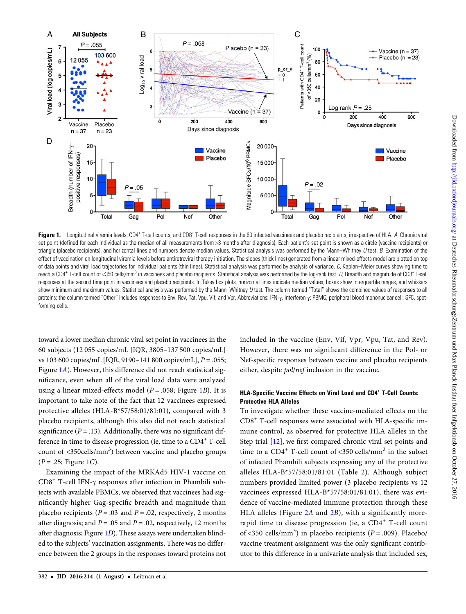<span id="page-3-0"></span>

Figure 1. Longitudinal viremia levels, CD4+ T-cell counts, and CD8+ T-cell responses in the 60 infected vaccinees and placebo recipients, irrespective of HLA. A, Chronic viral set point (defined for each individual as the median of all measurements from >3 months after diagnosis). Each patient's set point is shown as a circle (vaccine recipients) or triangle (placebo recipients), and horizontal lines and numbers denote median values. Statistical analysis was performed by the Mann–Whitney  $U$  test.  $B$ , Examination of the effect of vaccination on longitudinal viremia levels before antiretroviral therapy initiation. The slopes (thick lines) generated from a linear mixed-effects model are plotted on top of data points and viral load trajectories for individual patients (thin lines). Statistical analysis was performed by analysis of variance. C, Kaplan–Meier curves showing time to reach a CD4+ T-cell count of <350 cells/mm<sup>3</sup> in vaccinees and placebo recipients. Statistical analysis was performed by the log-rank test. D, Breadth and magnitude of CD8+ T-cell responses at the second time point in vaccinees and placebo recipients. In Tukey box plots, horizontal lines indicate median values, boxes show interquartile ranges, and whiskers show minimum and maximum values. Statistical analysis was performed by the Mann–Whitney  $U$  test. The column termed "Total" shows the combined values of responses to all proteins; the column termed "Other" includes responses to Env, Rev, Tat, Vpu, Vif, and Vpr. Abbreviations: IFN-γ, interferon γ; PBMC, peripheral blood mononuclear cell; SFC, spotforming cells.

toward a lower median chronic viral set point in vaccinees in the 60 subjects (12 055 copies/mL [IQR, 3805–137 500 copies/mL] vs 103 600 copies/mL [IQR, 9190–141 800 copies/mL],  $P = .055$ ; Figure 1A). However, this difference did not reach statistical significance, even when all of the viral load data were analyzed using a linear mixed-effects model ( $P = .058$ ; Figure 1B). It is important to take note of the fact that 12 vaccinees expressed protective alleles (HLA-B\*57/58:01/81:01), compared with 3 placebo recipients, although this also did not reach statistical significance ( $P = .13$ ). Additionally, there was no significant difference in time to disease progression (ie, time to a  $CD4^+$  T-cell count of <350cells/mm<sup>3</sup>) between vaccine and placebo groups  $(P = .25; Figure 1C).$ 

Examining the impact of the MRKAd5 HIV-1 vaccine on CD8<sup>+</sup> T-cell IFN-γ responses after infection in Phambili subjects with available PBMCs, we observed that vaccinees had significantly higher Gag-specific breadth and magnitude than placebo recipients ( $P = .03$  and  $P = .02$ , respectively, 2 months after diagnosis; and  $P = .05$  and  $P = .02$ , respectively, 12 months after diagnosis; Figure 1D). These assays were undertaken blinded to the subjects' vaccination assignments. There was no difference between the 2 groups in the responses toward proteins not included in the vaccine (Env, Vif, Vpr, Vpu, Tat, and Rev). However, there was no significant difference in the Pol- or Nef-specific responses between vaccine and placebo recipients either, despite pol/nef inclusion in the vaccine.

# HLA-Specific Vaccine Effects on Viral Load and CD4<sup>+</sup> T-Cell Counts: Protective HLA Alleles

To investigate whether these vaccine-mediated effects on the CD8<sup>+</sup> T-cell responses were associated with HLA-specific immune control, as observed for protective HLA alleles in the Step trial [[12\]](#page-9-0), we first compared chronic viral set points and time to a  $CD4^+$  T-cell count of <350 cells/mm<sup>3</sup> in the subset of infected Phambili subjects expressing any of the protective alleles HLA-B\*57/58:01/81:01 (Table [2](#page-4-0)). Although subject numbers provided limited power (3 placebo recipients vs 12 vaccinees expressed HLA-B\*57/58:01/81:01), there was evidence of vaccine-mediated immune protection through these HLA alleles (Figure  $2A$  $2A$  and  $2B$ ), with a significantly morerapid time to disease progression (ie, a CD4<sup>+</sup> T-cell count of <350 cells/mm<sup>3</sup>) in placebo recipients ( $P = .009$ ). Placebo/ vaccine treatment assignment was the only significant contributor to this difference in a univariate analysis that included sex,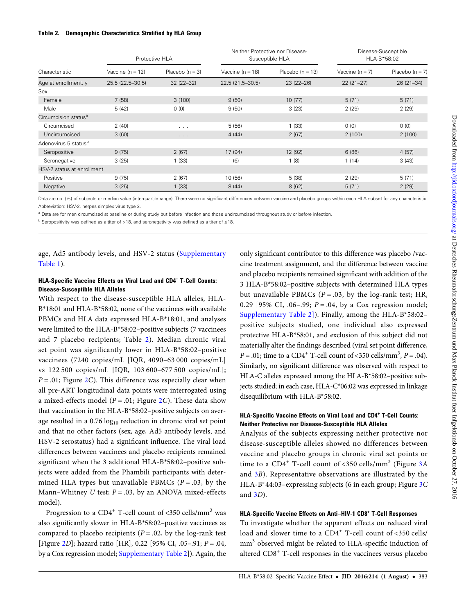#### <span id="page-4-0"></span>Table 2. Demographic Characteristics Stratified by HLA Group

| Characteristic                   | Protective HLA     |                         | Neither Protective nor Disease-<br>Susceptible HLA |                    | Disease-Susceptible<br>HLA-B*58:02 |                   |
|----------------------------------|--------------------|-------------------------|----------------------------------------------------|--------------------|------------------------------------|-------------------|
|                                  | Vaccine $(n = 12)$ | Placebo $(n = 3)$       | Vaccine $(n = 18)$                                 | Placebo $(n = 13)$ | Vaccine $(n = 7)$                  | Placebo $(n = 7)$ |
| Age at enrollment, y             | 25.5 (22.5-30.5)   | $32(22-32)$             | $22.5(21.5-30.5)$                                  | $23(22-26)$        | $22(21-27)$                        | $26(21-34)$       |
| Sex                              |                    |                         |                                                    |                    |                                    |                   |
| Female                           | 7(58)              | 3(100)                  | 9(50)                                              | 10(77)             | 5(71)                              | 5(71)             |
| Male                             | 5(42)              | 0(0)                    | 9(50)                                              | 3(23)              | 2(29)                              | 2(29)             |
| Circumcision status <sup>a</sup> |                    |                         |                                                    |                    |                                    |                   |
| Circumcised                      | 2(40)              | $\sim$ $\sim$ $\sim$    | 5(56)                                              | 1(33)              | 0(0)                               | 0(0)              |
| Uncircumcised                    | 3(60)              | $\cdot$ $\cdot$ $\cdot$ | 4(44)                                              | 2(67)              | 2(100)                             | 2(100)            |
| Adenovirus 5 status <sup>b</sup> |                    |                         |                                                    |                    |                                    |                   |
| Seropositive                     | 9(75)              | 2(67)                   | 17 (94)                                            | 12 (92)            | 6(86)                              | 4(57)             |
| Seronegative                     | 3(25)              | 1(33)                   | 1(6)                                               | 1(8)               | 1(14)                              | 3(43)             |
| HSV-2 status at enrollment       |                    |                         |                                                    |                    |                                    |                   |
| Positive                         | 9(75)              | 2(67)                   | 10 (56)                                            | 5(38)              | 2(29)                              | 5(71)             |
| Negative                         | 3(25)              | 1(33)                   | 8(44)                                              | 8(62)              | 5(71)                              | 2(29)             |

Data are no. (%) of subjects or median value (interquartile range). There were no significant differences between vaccine and placebo groups within each HLA subset for any characteristic. Abbreviation: HSV-2, herpes simplex virus type 2.

a Data are for men circumcised at baseline or during study but before infection and those uncircumcised throughout study or before infection.

<sup>b</sup> Seropositivity was defined as a titer of >18, and seronegativity was defined as a titer of  $≤18$ .

age, Ad5 antibody levels, and HSV-2 status ([Supplementary](http://jid.oxfordjournals.org/lookup/suppl/doi:10.1093/infdis/jiw093/-/DC1) [Table 1](http://jid.oxfordjournals.org/lookup/suppl/doi:10.1093/infdis/jiw093/-/DC1)).

# HLA-Specific Vaccine Effects on Viral Load and CD4<sup>+</sup> T-Cell Counts: Disease-Susceptible HLA Alleles

With respect to the disease-susceptible HLA alleles, HLA-B\*18:01 and HLA-B\*58:02, none of the vaccinees with available PBMCs and HLA data expressed HLA-B\*18:01, and analyses were limited to the HLA-B\*58:02–positive subjects (7 vaccinees and 7 placebo recipients; Table 2). Median chronic viral set point was significantly lower in HLA-B\*58:02–positive vaccinees (7240 copies/mL [IQR, 4090–63 000 copies/mL] vs 122 500 copies/mL [IQR, 103 600–677 500 copies/mL];  $P = .01$ ; Figure [2](#page-5-0)C). This difference was especially clear when all pre-ART longitudinal data points were interrogated using a mixed-effects model ( $P = .01$ ; Figure [2](#page-5-0)C). These data show that vaccination in the HLA-B\*58:02–positive subjects on average resulted in a  $0.76 \log_{10}$  reduction in chronic viral set point and that no other factors (sex, age, Ad5 antibody levels, and HSV-2 serostatus) had a significant influence. The viral load differences between vaccinees and placebo recipients remained significant when the 3 additional HLA-B\*58:02–positive subjects were added from the Phambili participants with determined HLA types but unavailable PBMCs ( $P = .03$ , by the Mann–Whitney U test;  $P = .03$ , by an ANOVA mixed-effects model).

Progression to a  $CD4^+$  T-cell count of <350 cells/mm<sup>3</sup> was also significantly slower in HLA-B\*58:02–positive vaccinees as compared to placebo recipients ( $P = .02$ , by the log-rank test [Figure [2](#page-5-0)D]; hazard ratio [HR], 0.22 [95% CI, .05-.91; P = .04, by a Cox regression model; [Supplementary Table 2\]](http://jid.oxfordjournals.org/lookup/suppl/doi:10.1093/infdis/jiw093/-/DC1)). Again, the

only significant contributor to this difference was placebo /vaccine treatment assignment, and the difference between vaccine and placebo recipients remained significant with addition of the 3 HLA-B\*58:02–positive subjects with determined HLA types but unavailable PBMCs ( $P = .03$ , by the log-rank test; HR, 0.29 [95% CI, .06–.99;  $P = .04$ , by a Cox regression model; [Supplementary Table 2\]\)](http://jid.oxfordjournals.org/lookup/suppl/doi:10.1093/infdis/jiw093/-/DC1). Finally, among the HLA-B\*58:02– positive subjects studied, one individual also expressed protective HLA-B\*58:01, and exclusion of this subject did not materially alter the findings described (viral set point difference,  $P = .01$ ; time to a CD4<sup>+</sup> T-cell count of <350 cells/mm<sup>3</sup>,  $P = .04$ ). Similarly, no significant difference was observed with respect to HLA-C alleles expressed among the HLA-B\*58:02–positive subjects studied; in each case, HLA-C\*06:02 was expressed in linkage disequilibrium with HLA-B\*58:02.

# HLA-Specific Vaccine Effects on Viral Load and CD4<sup>+</sup> T-Cell Counts: Neither Protective nor Disease-Susceptible HLA Alleles

Analysis of the subjects expressing neither protective nor disease-susceptible alleles showed no differences between vaccine and placebo groups in chronic viral set points or time to a  $CD4^+$  T-cell count of <[3](#page-6-0)50 cells/mm<sup>3</sup> (Figure 3A and [3](#page-6-0)B). Representative observations are illustrated by the HLA-B\*44:03–expressing subjects (6 in each group; Figure [3](#page-6-0)C and [3](#page-6-0)D).

## HLA-Specific Vaccine Effects on Anti-HIV-1 CD8<sup>+</sup> T-Cell Responses

To investigate whether the apparent effects on reduced viral load and slower time to a CD4<sup>+</sup> T-cell count of <350 cells/ mm<sup>3</sup> observed might be related to HLA-specific induction of altered CD8<sup>+</sup> T-cell responses in the vaccinees versus placebo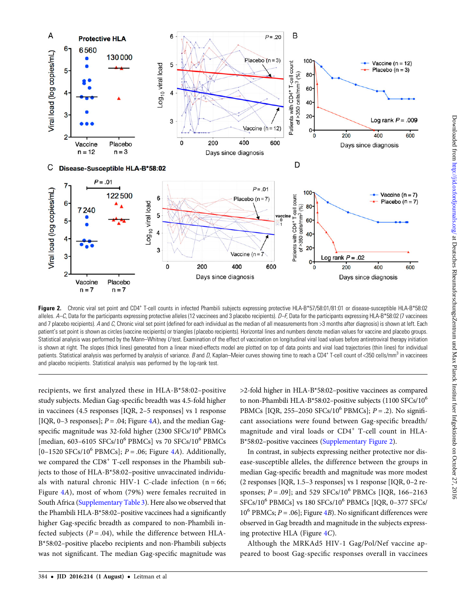<span id="page-5-0"></span>

Figure 2. Chronic viral set point and CD4+ T-cell counts in infected Phambili subjects expressing protective HLA-B\*57/58:01/81:01 or disease-susceptible HLA-B\*58:02 alleles. A–C, Data for the participants expressing protective alleles (12 vaccinees and 3 placebo recipients). D–F, Data for the participants expressing HLA-B\*58:02 (7 vaccinees and 7 placebo recipients). A and C, Chronic viral set point (defined for each individual as the median of all measurements from >3 months after diagnosis) is shown at left. Each patient's set point is shown as circles (vaccine recipients) or triangles (placebo recipients). Horizontal lines and numbers denote median values for vaccine and placebo groups. Statistical analysis was performed by the Mann–Whitney U test. Examination of the effect of vaccination on longitudinal viral load values before antiretroviral therapy initiation is shown at right. The slopes (thick lines) generated from a linear mixed-effects model are plotted on top of data points and viral load trajectories (thin lines) for individual patients. Statistical analysis was performed by analysis of variance. B and D, Kaplan–Meier curves showing time to reach a CD4+ T-cell count of <350 cells/mm<sup>3</sup> in vaccinees and placebo recipients. Statistical analysis was performed by the log-rank test.

recipients, we first analyzed these in HLA-B\*58:02–positive study subjects. Median Gag-specific breadth was 4.5-fold higher in vaccinees (4.5 responses [IQR, 2–5 responses] vs 1 response [IQR, 0–3 responses];  $P = .04$  $P = .04$ ; Figure 4A), and the median Gagspecific magnitude was 32-fold higher  $(2300 \text{ SFCs}/10^6 \text{ PBMCs})$ [median, 603-6105 SFCs/10<sup>6</sup> PBMCs] vs 70 SFCs/10<sup>6</sup> PBMCs [0–1520 SFCs/10<sup>6</sup> PBMCs];  $P = .06$ ; Figure [4](#page-7-0)A). Additionally, we compared the CD8<sup>+</sup> T-cell responses in the Phambili subjects to those of HLA-B\*58:02–positive unvaccinated individuals with natural chronic HIV-1 C-clade infection  $(n = 66;$ Figure [4](#page-7-0)A), most of whom (79%) were females recruited in South Africa [\(Supplementary Table 3\)](http://jid.oxfordjournals.org/lookup/suppl/doi:10.1093/infdis/jiw093/-/DC1). Here also we observed that the Phambili HLA-B\*58:02–positive vaccinees had a significantly higher Gag-specific breadth as compared to non-Phambili infected subjects ( $P = .04$ ), while the difference between HLA-B\*58:02–positive placebo recipients and non-Phambili subjects was not significant. The median Gag-specific magnitude was >2-fold higher in HLA-B\*58:02–positive vaccinees as compared to non-Phambili HLA-B\*58:02-positive subjects (1100 SFCs/ $10^6$ ) PBMCs [IQR, 255–2050 SFCs/10<sup>6</sup> PBMCs];  $P = .2$ ). No significant associations were found between Gag-specific breadth/ magnitude and viral loads or  $CD4^+$  T-cell count in HLA-B\*58:02–positive vaccinees [\(Supplementary Figure 2\)](http://jid.oxfordjournals.org/lookup/suppl/doi:10.1093/infdis/jiw093/-/DC1).

In contrast, in subjects expressing neither protective nor disease-susceptible alleles, the difference between the groups in median Gag-specific breadth and magnitude was more modest (2 responses [IQR, 1.5–3 responses] vs 1 response [IQR, 0–2 responses;  $P = .09$ ]; and 529 SFCs/10<sup>6</sup> PBMCs [IQR, 166–2163 SFCs/10<sup>6</sup> PBMCs] vs 180 SFCs/10<sup>6</sup> PBMCs [IQR, 0–377 SFCs/  $10^6$  PBMCs;  $P = .06$ ; Figure [4](#page-7-0)B). No significant differences were observed in Gag breadth and magnitude in the subjects expressing protective HLA (Figure [4](#page-7-0)C).

Although the MRKAd5 HIV-1 Gag/Pol/Nef vaccine appeared to boost Gag-specific responses overall in vaccinees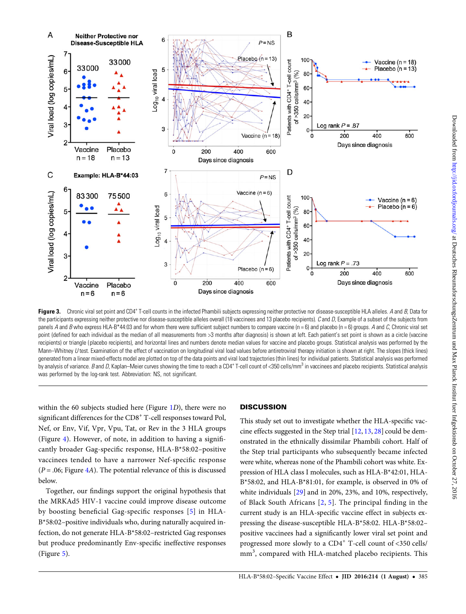<span id="page-6-0"></span>

Figure 3. Chronic viral set point and CD4<sup>+</sup> T-cell counts in the infected Phambili subjects expressing neither protective nor disease-susceptible HLA alleles. A and B, Data for the participants expressing neither protective nor disease-susceptible alleles overall (18 vaccinees and 13 placebo recipients). C and D, Example of a subset of the subjects from panels A and B who express HLA-B\*44:03 and for whom there were sufficient subject numbers to compare vaccine (n = 6) and placebo (n = 6) groups. A and C, Chronic viral set point (defined for each individual as the median of all measurements from >3 months after diagnosis) is shown at left. Each patient's set point is shown as a circle (vaccine recipients) or triangle (placebo recipients), and horizontal lines and numbers denote median values for vaccine and placebo groups. Statistical analysis was performed by the Mann–Whitney U test. Examination of the effect of vaccination on longitudinal viral load values before antiretroviral therapy initiation is shown at right. The slopes (thick lines) generated from a linear mixed-effects model are plotted on top of the data points and viral load trajectories (thin lines) for individual patients. Statistical analysis was performed by analysis of variance. B and D, Kaplan–Meier curves showing the time to reach a CD4<sup>+</sup> T-cell count of <350 cells/mm<sup>3</sup> in vaccinees and placebo recipients. Statistical analysis was performed by the log-rank test. Abbreviation: NS, not significant.

within the 60 subjects studied here (Figure [1](#page-3-0)D), there were no significant differences for the CD8<sup>+</sup> T-cell responses toward Pol, Nef, or Env, Vif, Vpr, Vpu, Tat, or Rev in the 3 HLA groups (Figure [4\)](#page-7-0). However, of note, in addition to having a significantly broader Gag-specific response, HLA-B\*58:02–positive vaccinees tended to have a narrower Nef-specific response  $(P = .06;$  Figure [4](#page-7-0)A). The potential relevance of this is discussed below.

Together, our findings support the original hypothesis that the MRKAd5 HIV-1 vaccine could improve disease outcome by boosting beneficial Gag-specific responses [[5](#page-9-0)] in HLA-B\*58:02–positive individuals who, during naturally acquired infection, do not generate HLA-B\*58:02–restricted Gag responses but produce predominantly Env-specific ineffective responses (Figure [5\)](#page-8-0).

# **DISCUSSION**

This study set out to investigate whether the HLA-specific vaccine effects suggested in the Step trial [[12,](#page-9-0) [13](#page-9-0), [28\]](#page-10-0) could be demonstrated in the ethnically dissimilar Phambili cohort. Half of the Step trial participants who subsequently became infected were white, whereas none of the Phambili cohort was white. Expression of HLA class I molecules, such as HLA-B\*42:01, HLA-B\*58:02, and HLA-B\*81:01, for example, is observed in 0% of white individuals [\[29](#page-10-0)] and in 20%, 23%, and 10%, respectively, of Black South Africans [[2](#page-9-0), [5\]](#page-9-0). The principal finding in the current study is an HLA-specific vaccine effect in subjects expressing the disease-susceptible HLA-B\*58:02. HLA-B\*58:02– positive vaccinees had a significantly lower viral set point and progressed more slowly to a CD4<sup>+</sup> T-cell count of <350 cells/ mm<sup>3</sup>, compared with HLA-matched placebo recipients. This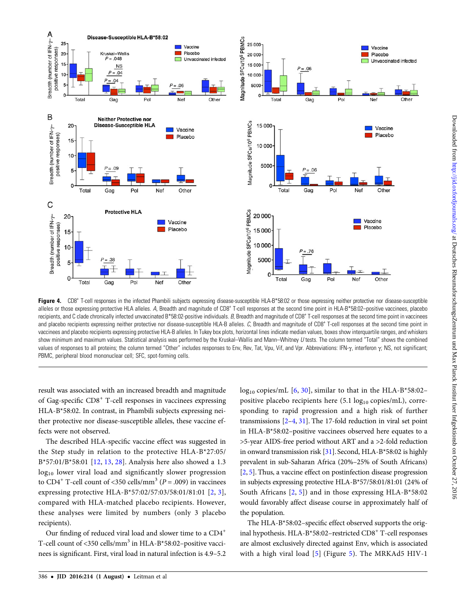<span id="page-7-0"></span>

Figure 4. CD8<sup>+</sup> T-cell responses in the infected Phambili subjects expressing disease-susceptible HLA-B\*58:02 or those expressing neither protective nor disease-susceptible alleles or those expressing protective HLA alleles. A, Breadth and magnitude of CD8<sup>+</sup> T-cell responses at the second time point in HLA-B\*58:02–positive vaccinees, placebo recipients, and C clade chronically infected unvaccinated B\*58:02-positive individuals. B, Breadth and magnitude of CD8<sup>+</sup> T-cell responses at the second time point in vaccinees and placebo recipients expressing neither protective nor disease-susceptible HLA-B alleles. C, Breadth and magnitude of CD8<sup>+</sup> T-cell responses at the second time point in vaccinees and placebo recipients expressing protective HLA-B alleles. In Tukey box plots, horizontal lines indicate median values, boxes show interquartile ranges, and whiskers show minimum and maximum values. Statistical analysis was performed by the Kruskal–Wallis and Mann–Whitney U tests. The column termed "Total" shows the combined values of responses to all proteins; the column termed "Other" includes responses to Env, Rev, Tat, Vpu, Vif, and Vpr. Abbreviations: IFN-γ, interferon γ; NS, not significant; PBMC, peripheral blood mononuclear cell; SFC, spot-forming cells.

result was associated with an increased breadth and magnitude of Gag-specific CD8<sup>+</sup> T-cell responses in vaccinees expressing HLA-B\*58:02. In contrast, in Phambili subjects expressing neither protective nor disease-susceptible alleles, these vaccine effects were not observed.

The described HLA-specific vaccine effect was suggested in the Step study in relation to the protective HLA-B\*27:05/ B\*57:01/B\*58:01 [[12](#page-9-0), [13](#page-9-0), [28\]](#page-10-0). Analysis here also showed a 1.3 log<sub>10</sub> lower viral load and significantly slower progression to CD4<sup>+</sup> T-cell count of <350 cells/mm<sup>3</sup> ( $P = .009$ ) in vaccinees expressing protective HLA-B\*57:02/57:03/58:01/81:01 [\[2,](#page-9-0) [3](#page-9-0)], compared with HLA-matched placebo recipients. However, these analyses were limited by numbers (only 3 placebo recipients).

Our finding of reduced viral load and slower time to a CD4<sup>+</sup> T-cell count of <350 cells/mm<sup>3</sup> in HLA-B\*58:02-positive vaccinees is significant. First, viral load in natural infection is 4.9–5.2  $log_{10}$  copies/mL [\[6,](#page-9-0) [30\]](#page-10-0), similar to that in the HLA-B\*58:02– positive placebo recipients here  $(5.1 \log_{10} \text{copies/mL})$ , corresponding to rapid progression and a high risk of further transmissions [[2](#page-9-0)–[4,](#page-9-0) [31\]](#page-10-0). The 17-fold reduction in viral set point in HLA-B\*58:02–positive vaccinees observed here equates to a >5-year AIDS-free period without ART and a >2-fold reduction in onward transmission risk [\[31](#page-10-0)]. Second, HLA-B\*58:02 is highly prevalent in sub-Saharan Africa (20%–25% of South Africans) [\[2,](#page-9-0) [5\]](#page-9-0). Thus, a vaccine effect on postinfection disease progression in subjects expressing protective HLA-B\*57/58:01/81:01 (24% of South Africans [\[2](#page-9-0), [5](#page-9-0)]) and in those expressing HLA-B\*58:02 would favorably affect disease course in approximately half of the population.

The HLA-B\*58:02–specific effect observed supports the original hypothesis. HLA-B\*58:02-restricted CD8<sup>+</sup> T-cell responses are almost exclusively directed against Env, which is associated with a high viral load [\[5](#page-9-0)] (Figure [5](#page-8-0)). The MRKAd5 HIV-1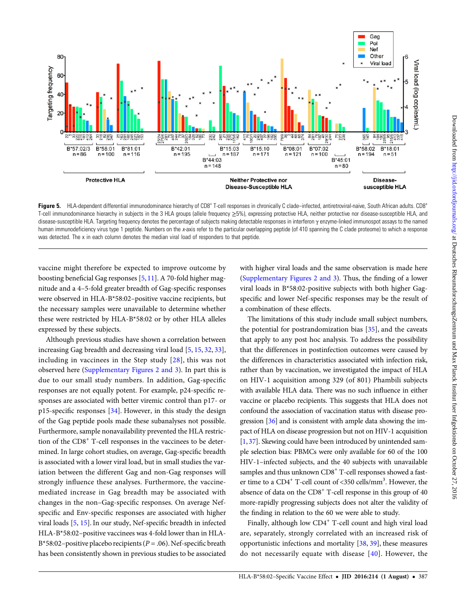<span id="page-8-0"></span>

Figure 5. HLA-dependent differential immunodominance hierarchy of CD8<sup>+</sup> T-cell responses in chronically C clade–infected, antiretroviral-naive, South African adults. CD8<sup>+</sup> T-cell immunodominance hierarchy in subjects in the 3 HLA groups (allele frequency ≥5%), expressing protective HLA, neither protective nor disease-susceptible HLA, and disease-susceptible HLA. Targeting frequency denotes the percentage of subjects making detectable responses in interferon γ enzyme-linked immunospot assays to the named human immunodeficiency virus type 1 peptide. Numbers on the x-axis refer to the particular overlapping peptide (of 410 spanning the C clade proteome) to which a response was detected. The x in each column denotes the median viral load of responders to that peptide.

vaccine might therefore be expected to improve outcome by boosting beneficial Gag responses [[5,](#page-9-0) [11\]](#page-9-0). A 70-fold higher magnitude and a 4–5-fold greater breadth of Gag-specific responses were observed in HLA-B\*58:02–positive vaccine recipients, but the necessary samples were unavailable to determine whether these were restricted by HLA-B\*58:02 or by other HLA alleles expressed by these subjects.

Although previous studies have shown a correlation between increasing Gag breadth and decreasing viral load [\[5,](#page-9-0) [15,](#page-9-0) [32,](#page-10-0) [33\]](#page-10-0), including in vaccinees in the Step study [[28\]](#page-10-0), this was not observed here ([Supplementary Figures 2 and 3](http://jid.oxfordjournals.org/lookup/suppl/doi:10.1093/infdis/jiw093/-/DC1)). In part this is due to our small study numbers. In addition, Gag-specific responses are not equally potent. For example, p24-specific responses are associated with better viremic control than p17- or p15-specific responses [[34](#page-10-0)]. However, in this study the design of the Gag peptide pools made these subanalyses not possible. Furthermore, sample nonavailability prevented the HLA restriction of the CD8<sup>+</sup> T-cell responses in the vaccinees to be determined. In large cohort studies, on average, Gag-specific breadth is associated with a lower viral load, but in small studies the variation between the different Gag and non-Gag responses will strongly influence these analyses. Furthermore, the vaccinemediated increase in Gag breadth may be associated with changes in the non–Gag-specific responses. On average Nefspecific and Env-specific responses are associated with higher viral loads [\[5,](#page-9-0) [15](#page-9-0)]. In our study, Nef-specific breadth in infected HLA-B\*58:02–positive vaccinees was 4-fold lower than in HLA-B\*58:02-positive placebo recipients ( $P = .06$ ). Nef-specific breath has been consistently shown in previous studies to be associated

with higher viral loads and the same observation is made here [\(Supplementary Figures 2 and 3](http://jid.oxfordjournals.org/lookup/suppl/doi:10.1093/infdis/jiw093/-/DC1)). Thus, the finding of a lower viral loads in B\*58:02-positive subjects with both higher Gagspecific and lower Nef-specific responses may be the result of a combination of these effects.

The limitations of this study include small subject numbers, the potential for postrandomization bias [[35](#page-10-0)], and the caveats that apply to any post hoc analysis. To address the possibility that the differences in postinfection outcomes were caused by the differences in characteristics associated with infection risk, rather than by vaccination, we investigated the impact of HLA on HIV-1 acquisition among 329 (of 801) Phambili subjects with available HLA data. There was no such influence in either vaccine or placebo recipients. This suggests that HLA does not confound the association of vaccination status with disease progression [[36\]](#page-10-0) and is consistent with ample data showing the impact of HLA on disease progression but not on HIV-1 acquisition [\[1,](#page-9-0) [37\]](#page-10-0). Skewing could have been introduced by unintended sample selection bias: PBMCs were only available for 60 of the 100 HIV-1–infected subjects, and the 40 subjects with unavailable samples and thus unknown CD8<sup>+</sup> T-cell responses showed a faster time to a CD4<sup>+</sup> T-cell count of <350 cells/mm<sup>3</sup>. However, the absence of data on the CD8<sup>+</sup> T-cell response in this group of 40 more-rapidly progressing subjects does not alter the validity of the finding in relation to the 60 we were able to study.

Finally, although low CD4<sup>+</sup> T-cell count and high viral load are, separately, strongly correlated with an increased risk of opportunistic infections and mortality [[38](#page-10-0), [39](#page-10-0)], these measures do not necessarily equate with disease [[40\]](#page-10-0). However, the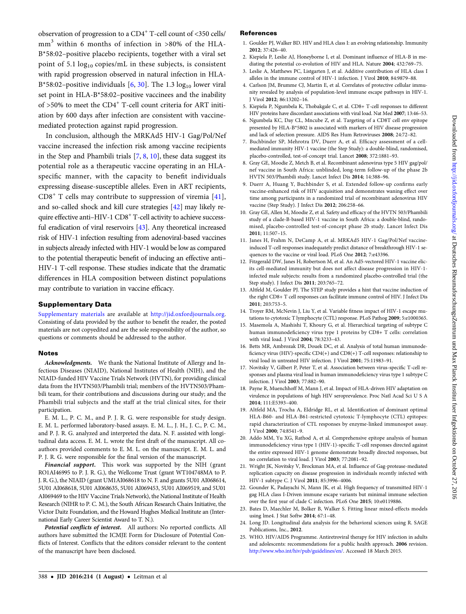<span id="page-9-0"></span>observation of progression to a  $CD4^+$  T-cell count of <350 cells/  $mm<sup>3</sup>$  within 6 months of infection in >80% of the HLA-B\*58:02–positive placebo recipients, together with a viral set point of 5.1  $log_{10}$  copies/mL in these subjects, is consistent with rapid progression observed in natural infection in HLA-B\*58:02–positive individuals  $[6, 30]$  $[6, 30]$  $[6, 30]$ . The 1.3 log<sub>10</sub> lower viral set point in HLA-B\*58:02–positive vaccinees and the inability of  $>50\%$  to meet the CD4<sup>+</sup> T-cell count criteria for ART initiation by 600 days after infection are consistent with vaccinemediated protection against rapid progression.

In conclusion, although the MRKAd5 HIV-1 Gag/Pol/Nef vaccine increased the infection risk among vaccine recipients in the Step and Phambili trials  $[7, 8, 10]$ , these data suggest its potential role as a therapeutic vaccine operating in an HLAspecific manner, with the capacity to benefit individuals expressing disease-susceptible alleles. Even in ART recipients, CD8<sup>+</sup> T cells may contribute to suppression of viremia [\[41](#page-10-0)], and so-called shock and kill cure strategies [[42\]](#page-10-0) may likely require effective anti-HIV-1 CD8<sup>+</sup> T-cell activity to achieve successful eradication of viral reservoirs [\[43](#page-10-0)]. Any theoretical increased risk of HIV-1 infection resulting from adenoviral-based vaccines in subjects already infected with HIV-1 would be low as compared to the potential therapeutic benefit of inducing an effective anti– HIV-1 T-cell response. These studies indicate that the dramatic differences in HLA composition between distinct populations may contribute to variation in vaccine efficacy.

## Supplementary Data

[Supplementary materials](http://jid.oxfordjournals.org/lookup/suppl/doi:10.1093/infdis/jiw093/-/DC1) are available at <http://jid.oxfordjournals.org>. Consisting of data provided by the author to benefit the reader, the posted materials are not copyedited and are the sole responsibility of the author, so questions or comments should be addressed to the author.

## Notes

Acknowledgments. We thank the National Institute of Allergy and Infectious Diseases (NIAID), National Institutes of Health (NIH), and the NIAID-funded HIV Vaccine Trials Network (HVTN), for providing clinical data from the HVTN503/Phambili trial; members of the HVTN503/Phambili team, for their contributions and discussions during our study; and the Phambili trial subjects and the staff at the trial clinical sites, for their participation.

E. M. L., P. C. M., and P. J. R. G. were responsible for study design. E. M. L. performed laboratory-based assays. E. M. L., J. H., J. C., P. C. M., and P. J. R. G. analyzed and interpreted the data. N. F. assisted with longitudinal data access. E. M. L. wrote the first draft of the manuscript. All coauthors provided comments to E. M. L. on the manuscript. E. M. L. and P. J. R. G. were responsible for the final version of the manuscript.

Financial support. This work was supported by the NIH (grant RO1AI46995 to P. J. R. G.), the Wellcome Trust (grant WT104748MA to P. J. R. G.), the NIAID (grant UM1AI068618 to N. F. and grants 5U01 AI068614, 5U01 AI068618, 5U01 AI068635, 5U01 AI069453, 5U01 AI069519, and 5U01 AI069469 to the HIV Vaccine Trials Network), the National Institute of Health Research (NIHR to P. C. M.), the South African Research Chairs Initiative, the Victor Daitz Foundation, and the Howard Hughes Medical Institute an (International Early Career Scientist Award to T. N.).

Potential conflicts of interest. All authors: No reported conflicts. All authors have submitted the ICMJE Form for Disclosure of Potential Conflicts of Interest. Conflicts that the editors consider relevant to the content of the manuscript have been disclosed.

#### References

- 1. Goulder PJ, Walker BD. HIV and HLA class I: an evolving relationship. Immunity 2012; 37:426–40.
- 2. Kiepiela P, Leslie AJ, Honeyborne I, et al. Dominant influence of HLA-B in mediating the potential co-evolution of HIV and HLA. Nature 2004; 432:769–75.
- 3. Leslie A, Matthews PC, Listgarten J, et al. Additive contribution of HLA class I alleles in the immune control of HIV-1 infection. J Virol 2010; 84:9879–88.
- 4. Carlson JM, Brumme CJ, Martin E, et al. Correlates of protective cellular immunity revealed by analysis of population-level immune escape pathways in HIV-1. J Virol 2012; 86:13202–16.
- 5. Kiepiela P, Ngumbela K, Thobakgale C, et al. CD8+ T-cell responses to different HIV proteins have discordant associations with viral load. Nat Med 2007; 13:46–53.
- 6. Ngumbela KC, Day CL, Mncube Z, et al. Targeting of a CD8T cell env epitope presented by HLA-B\*5802 is associated with markers of HIV disease progression and lack of selection pressure. AIDS Res Hum Retroviruses 2008; 24:72–82.
- 7. Buchbinder SP, Mehrotra DV, Duerr A, et al. Efficacy assessment of a cellmediated immunity HIV-1 vaccine (the Step Study): a double-blind, randomised, placebo-controlled, test-of-concept trial. Lancet 2008; 372:1881–93.
- 8. Gray GE, Moodie Z, Metch B, et al. Recombinant adenovirus type 5 HIV gag/pol/ nef vaccine in South Africa: unblinded, long-term follow-up of the phase 2b HVTN 503/Phambili study. Lancet Infect Dis 2014; 14:388–96.
- 9. Duerr A, Huang Y, Buchbinder S, et al. Extended follow-up confirms early vaccine-enhanced risk of HIV acquisition and demonstrates waning effect over time among participants in a randomized trial of recombinant adenovirus HIV vaccine (Step Study). J Infect Dis 2012; 206:258–66.
- 10. Gray GE, Allen M, Moodie Z, et al. Safety and efficacy of the HVTN 503/Phambili study of a clade-B-based HIV-1 vaccine in South Africa: a double-blind, randomised, placebo-controlled test-of-concept phase 2b study. Lancet Infect Dis 2011; 11:507–15.
- 11. Janes H, Frahm N, DeCamp A, et al. MRKAd5 HIV-1 Gag/Pol/Nef vaccineinduced T-cell responses inadequately predict distance of breakthrough HIV-1 sequences to the vaccine or viral load. PLoS One 2012; 7:e43396.
- 12. Fitzgerald DW, Janes H, Robertson M, et al. An Ad5-vectored HIV-1 vaccine elicits cell-mediated immunity but does not affect disease progression in HIV-1 infected male subjects: results from a randomized placebo-controlled trial (the Step study). J Infect Dis 2011; 203:765–72.
- 13. Altfeld M, Goulder PJ. The STEP study provides a hint that vaccine induction of the right CD8+ T cell responses can facilitate immune control of HIV. J Infect Dis 2011; 203:753–5.
- 14. Troyer RM, McNevin J, Liu Y, et al. Variable fitness impact of HIV-1 escape mutations to cytotoxic T lymphocyte (CTL) response. PLoS Pathog 2009; 5:e1000365.
- 15. Masemola A, Mashishi T, Khoury G, et al. Hierarchical targeting of subtype C human immunodeficiency virus type 1 proteins by CD8+ T cells: correlation with viral load. J Virol 2004; 78:3233–43.
- 16. Betts MR, Ambrozak DR, Douek DC, et al. Analysis of total human immunodeficiency virus (HIV)-specific CD4(+) and CD8(+) T-cell responses: relationship to viral load in untreated HIV infection. J Virol 2001; 75:11983–91.
- 17. Novitsky V, Gilbert P, Peter T, et al. Association between virus-specific T-cell responses and plasma viral load in human immunodeficiency virus type 1 subtype C infection. J Virol 2003; 77:882–90.
- 18. Payne R, Muenchhoff M, Mann J, et al. Impact of HLA-driven HIV adaptation on virulence in populations of high HIV seroprevalence. Proc Natl Acad Sci U S A 2014; 111:E5393–400.
- 19. Altfeld MA, Trocha A, Eldridge RL, et al. Identification of dominant optimal HLA-B60- and HLA-B61-restricted cytotoxic T-lymphocyte (CTL) epitopes: rapid characterization of CTL responses by enzyme-linked immunospot assay. J Virol 2000; 74:8541–9.
- 20. Addo MM, Yu XG, Rathod A, et al. Comprehensive epitope analysis of human immunodeficiency virus type 1 (HIV-1)-specific T-cell responses directed against the entire expressed HIV-1 genome demonstrate broadly directed responses, but no correlation to viral load. J Virol 2003; 77:2081–92.
- 21. Wright JK, Novitsky V, Brockman MA, et al. Influence of Gag-protease-mediated replication capacity on disease progression in individuals recently infected with HIV-1 subtype C. J Virol 2011; 85:3996–4006.
- 22. Gounder K, Padayachi N, Mann JK, et al. High frequency of transmitted HIV-1 gag HLA class I-Driven immune escape variants but minimal immune selection over the first year of clade C infection. PLoS One 2015; 10:e0119886.
- 23. Bates D, Maechler M, Bolker B, Walker S. Fitting linear mixed-effects models using lme4. J Stat Softw 2014; 67:1–48.
- 24. Long JD. Longitudinal data analysis for the behavioral sciences using R. SAGE Publications, Inc., 2012.
- 25. WHO. HIV/AIDS Programme. Antiretroviral therapy for HIV infection in adults and adolescents: recommendations for a public health approach. 2006 revision. <http://www.who.int/hiv/pub/guidelines/en/>. Accessed 18 March 2015.